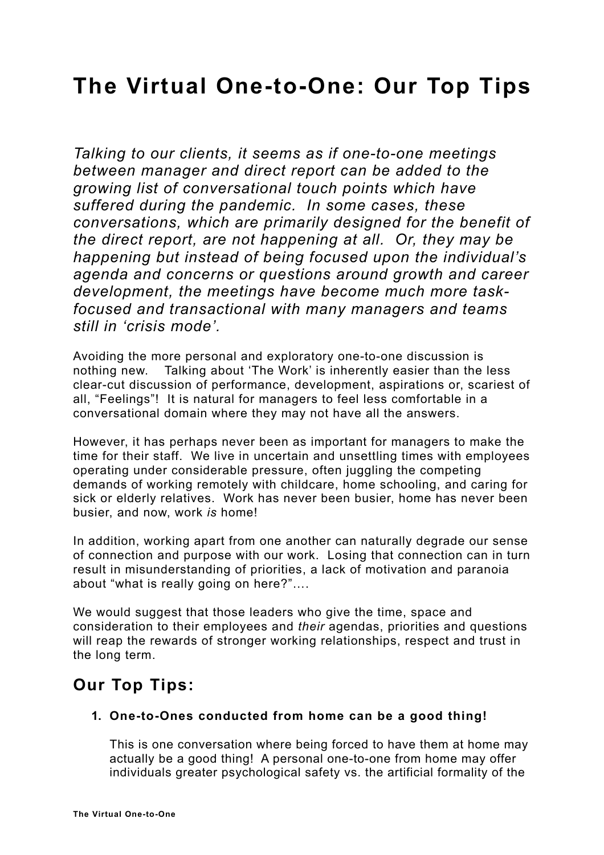# **The Virtual One-to-One: Our Top Tips**

*Talking to our clients, it seems as if one-to-one meetings between manager and direct report can be added to the growing list of conversational touch points which have suffered during the pandemic. In some cases, these conversations, which are primarily designed for the benefit of the direct report, are not happening at all. Or, they may be happening but instead of being focused upon the individual's agenda and concerns or questions around growth and career development, the meetings have become much more taskfocused and transactional with many managers and teams still in 'crisis mode'.* 

Avoiding the more personal and exploratory one-to-one discussion is nothing new. Talking about 'The Work' is inherently easier than the less clear-cut discussion of performance, development, aspirations or, scariest of all, "Feelings"! It is natural for managers to feel less comfortable in a conversational domain where they may not have all the answers.

However, it has perhaps never been as important for managers to make the time for their staff. We live in uncertain and unsettling times with employees operating under considerable pressure, often juggling the competing demands of working remotely with childcare, home schooling, and caring for sick or elderly relatives. Work has never been busier, home has never been busier, and now, work *is* home!

In addition, working apart from one another can naturally degrade our sense of connection and purpose with our work. Losing that connection can in turn result in misunderstanding of priorities, a lack of motivation and paranoia about "what is really going on here?"….

We would suggest that those leaders who give the time, space and consideration to their employees and *their* agendas, priorities and questions will reap the rewards of stronger working relationships, respect and trust in the long term.

# **Our Top Tips:**

## **1. One-to-Ones conducted from home can be a good thing!**

This is one conversation where being forced to have them at home may actually be a good thing! A personal one-to-one from home may offer individuals greater psychological safety vs. the artificial formality of the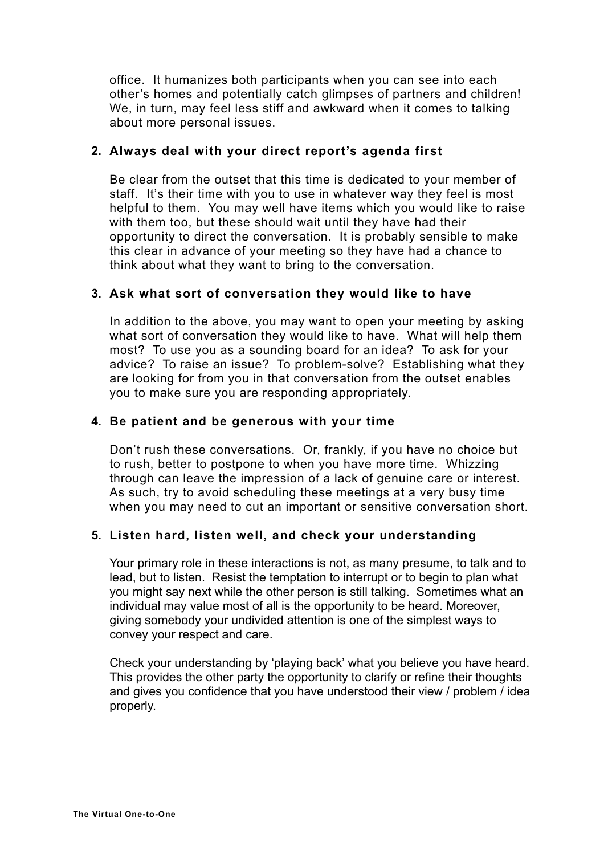office. It humanizes both participants when you can see into each other's homes and potentially catch glimpses of partners and children! We, in turn, may feel less stiff and awkward when it comes to talking about more personal issues.

## **2. Always deal with your direct report's agenda first**

Be clear from the outset that this time is dedicated to your member of staff. It's their time with you to use in whatever way they feel is most helpful to them. You may well have items which you would like to raise with them too, but these should wait until they have had their opportunity to direct the conversation. It is probably sensible to make this clear in advance of your meeting so they have had a chance to think about what they want to bring to the conversation.

### **3. Ask what sort of conversation they would like to have**

In addition to the above, you may want to open your meeting by asking what sort of conversation they would like to have. What will help them most? To use you as a sounding board for an idea? To ask for your advice? To raise an issue? To problem-solve? Establishing what they are looking for from you in that conversation from the outset enables you to make sure you are responding appropriately.

#### **4. Be patient and be generous with your time**

Don't rush these conversations. Or, frankly, if you have no choice but to rush, better to postpone to when you have more time. Whizzing through can leave the impression of a lack of genuine care or interest. As such, try to avoid scheduling these meetings at a very busy time when you may need to cut an important or sensitive conversation short.

#### **5. Listen hard, listen well, and check your understanding**

Your primary role in these interactions is not, as many presume, to talk and to lead, but to listen. Resist the temptation to interrupt or to begin to plan what you might say next while the other person is still talking. Sometimes what an individual may value most of all is the opportunity to be heard. Moreover, giving somebody your undivided attention is one of the simplest ways to convey your respect and care.

Check your understanding by 'playing back' what you believe you have heard. This provides the other party the opportunity to clarify or refine their thoughts and gives you confidence that you have understood their view / problem / idea properly.